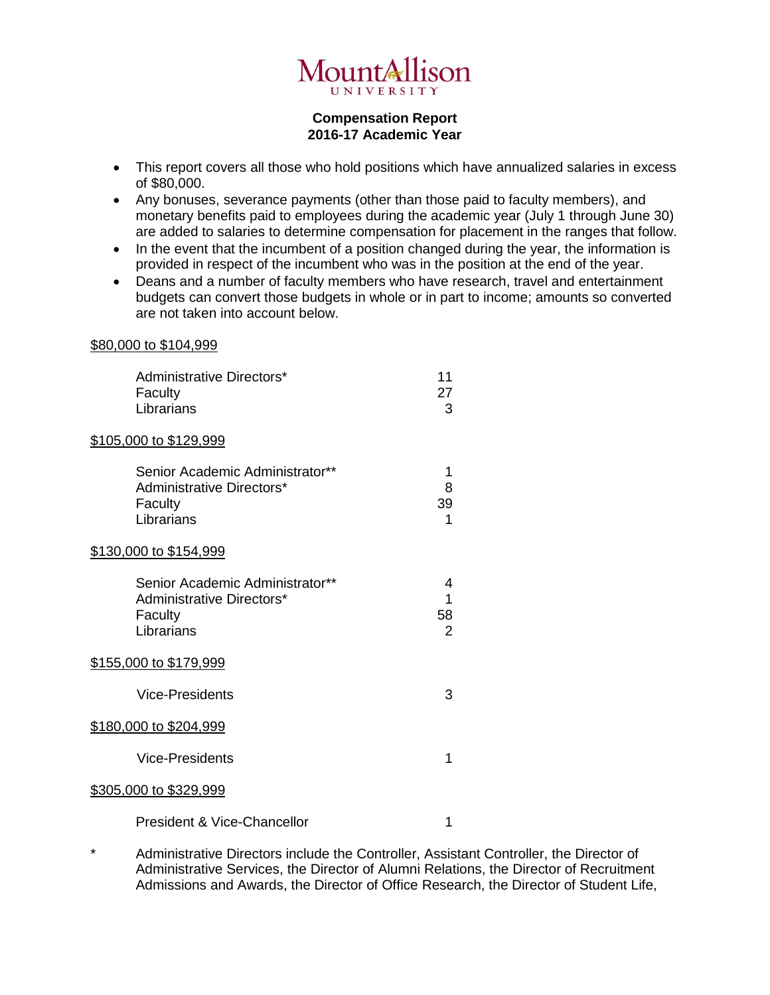

## **Compensation Report 2016-17 Academic Year**

- This report covers all those who hold positions which have annualized salaries in excess of \$80,000.
- Any bonuses, severance payments (other than those paid to faculty members), and monetary benefits paid to employees during the academic year (July 1 through June 30) are added to salaries to determine compensation for placement in the ranges that follow.
- In the event that the incumbent of a position changed during the year, the information is provided in respect of the incumbent who was in the position at the end of the year.
- Deans and a number of faculty members who have research, travel and entertainment budgets can convert those budgets in whole or in part to income; amounts so converted are not taken into account below.

## \$80,000 to \$104,999

| Administrative Directors*<br>Faculty<br>Librarians                                    | 11<br>27<br>3                  |
|---------------------------------------------------------------------------------------|--------------------------------|
| <u>\$105,000 to \$129,999</u>                                                         |                                |
| Senior Academic Administrator**<br>Administrative Directors*<br>Faculty<br>Librarians | 1<br>8<br>39<br>1              |
| <u>\$130,000 to \$154,999</u>                                                         |                                |
| Senior Academic Administrator**<br>Administrative Directors*<br>Faculty<br>Librarians | 4<br>1<br>58<br>$\overline{2}$ |
| <u>\$155,000 to \$179,999</u>                                                         |                                |
| <b>Vice-Presidents</b>                                                                | 3                              |
| <u>\$180,000 to \$204,999</u>                                                         |                                |
| <b>Vice-Presidents</b>                                                                | 1                              |
| <u>\$305,000 to \$329,999</u>                                                         |                                |
| <b>President &amp; Vice-Chancellor</b>                                                | 1                              |

\* Administrative Directors include the Controller, Assistant Controller, the Director of Administrative Services, the Director of Alumni Relations, the Director of Recruitment Admissions and Awards, the Director of Office Research, the Director of Student Life,